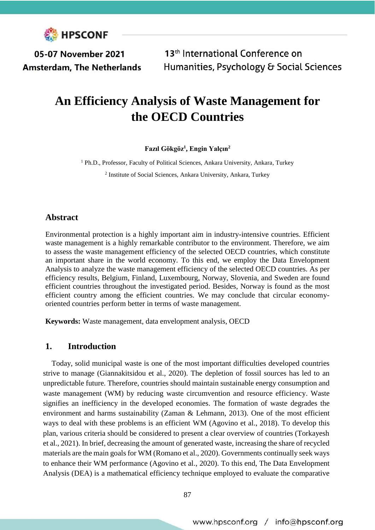

05-07 November 2021 **Amsterdam, The Netherlands** 

13<sup>th</sup> International Conference on Humanities, Psychology & Social Sciences

# **An Efficiency Analysis of Waste Management for the OECD Countries**

**Fazıl Gökgöz<sup>1</sup> , Engin Yalçın<sup>2</sup>**

<sup>1</sup> Ph.D., Professor, Faculty of Political Sciences, Ankara University, Ankara, Turkey 2 Institute of Social Sciences, Ankara University, Ankara, Turkey

## **Abstract**

Environmental protection is a highly important aim in industry-intensive countries. Efficient waste management is a highly remarkable contributor to the environment. Therefore, we aim to assess the waste management efficiency of the selected OECD countries, which constitute an important share in the world economy. To this end, we employ the Data Envelopment Analysis to analyze the waste management efficiency of the selected OECD countries. As per efficiency results, Belgium, Finland, Luxembourg, Norway, Slovenia, and Sweden are found efficient countries throughout the investigated period. Besides, Norway is found as the most efficient country among the efficient countries. We may conclude that circular economyoriented countries perform better in terms of waste management.

**Keywords:** Waste management, data envelopment analysis, OECD

## **1. Introduction**

Today, solid municipal waste is one of the most important difficulties developed countries strive to manage (Giannakitsidou et al., 2020). The depletion of fossil sources has led to an unpredictable future. Therefore, countries should maintain sustainable energy consumption and waste management (WM) by reducing waste circumvention and resource efficiency. Waste signifies an inefficiency in the developed economies. The formation of waste degrades the environment and harms sustainability (Zaman & Lehmann, 2013). One of the most efficient ways to deal with these problems is an efficient WM (Agovino et al., 2018). To develop this plan, various criteria should be considered to present a clear overview of countries (Torkayesh et al., 2021). In brief, decreasing the amount of generated waste, increasing the share of recycled materials are the main goals for WM (Romano et al., 2020). Governments continually seek ways to enhance their WM performance (Agovino et al., 2020). To this end, The Data Envelopment Analysis (DEA) is a mathematical efficiency technique employed to evaluate the comparative

87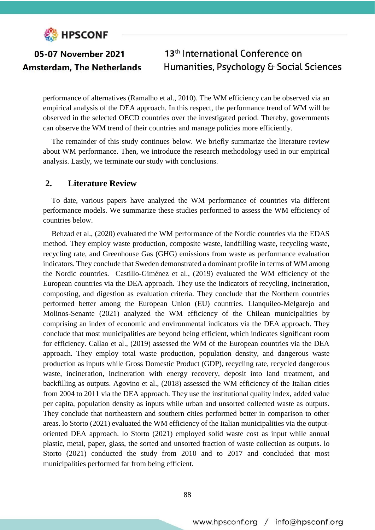

performance of alternatives (Ramalho et al., 2010). The WM efficiency can be observed via an empirical analysis of the DEA approach. In this respect, the performance trend of WM will be observed in the selected OECD countries over the investigated period. Thereby, governments can observe the WM trend of their countries and manage policies more efficiently.

The remainder of this study continues below. We briefly summarize the literature review about WM performance. Then, we introduce the research methodology used in our empirical analysis. Lastly, we terminate our study with conclusions.

## **2. Literature Review**

To date, various papers have analyzed the WM performance of countries via different performance models. We summarize these studies performed to assess the WM efficiency of countries below.

Behzad et al., (2020) evaluated the WM performance of the Nordic countries via the EDAS method. They employ waste production, composite waste, landfilling waste, recycling waste, recycling rate, and Greenhouse Gas (GHG) emissions from waste as performance evaluation indicators. They conclude that Sweden demonstrated a dominant profile in terms of WM among the Nordic countries. Castillo-Giménez et al., (2019) evaluated the WM efficiency of the European countries via the DEA approach. They use the indicators of recycling, incineration, composting, and digestion as evaluation criteria. They conclude that the Northern countries performed better among the European Union (EU) countries. Llanquileo-Melgarejo and Molinos-Senante (2021) analyzed the WM efficiency of the Chilean municipalities by comprising an index of economic and environmental indicators via the DEA approach. They conclude that most municipalities are beyond being efficient, which indicates significant room for efficiency. Callao et al., (2019) assessed the WM of the European countries via the DEA approach. They employ total waste production, population density, and dangerous waste production as inputs while Gross Domestic Product (GDP), recycling rate, recycled dangerous waste, incineration, incineration with energy recovery, deposit into land treatment, and backfilling as outputs. Agovino et al., (2018) assessed the WM efficiency of the Italian cities from 2004 to 2011 via the DEA approach. They use the institutional quality index, added value per capita, population density as inputs while urban and unsorted collected waste as outputs. They conclude that northeastern and southern cities performed better in comparison to other areas. lo Storto (2021) evaluated the WM efficiency of the Italian municipalities via the outputoriented DEA approach. lo Storto (2021) employed solid waste cost as input while annual plastic, metal, paper, glass, the sorted and unsorted fraction of waste collection as outputs. lo Storto (2021) conducted the study from 2010 and to 2017 and concluded that most municipalities performed far from being efficient.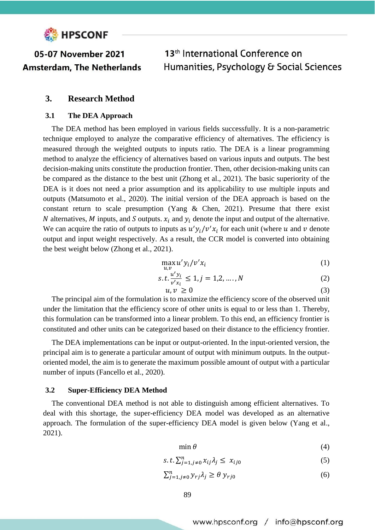

## **3. Research Method**

### **3.1 The DEA Approach**

The DEA method has been employed in various fields successfully. It is a non-parametric technique employed to analyze the comparative efficiency of alternatives. The efficiency is measured through the weighted outputs to inputs ratio. The DEA is a linear programming method to analyze the efficiency of alternatives based on various inputs and outputs. The best decision-making units constitute the production frontier. Then, other decision-making units can be compared as the distance to the best unit (Zhong et al., 2021). The basic superiority of the DEA is it does not need a prior assumption and its applicability to use multiple inputs and outputs (Matsumoto et al., 2020). The initial version of the DEA approach is based on the constant return to scale presumption (Yang & Chen, 2021). Presume that there exist N alternatives, M inputs, and S outputs.  $x_i$  and  $y_i$  denote the input and output of the alternative. We can acquire the ratio of outputs to inputs as  $u'y_i/v'x_i$  for each unit (where u and v denote output and input weight respectively. As a result, the CCR model is converted into obtaining the best weight below (Zhong et al., 2021).

$$
\max_{u,v} u' y_i / v' x_i \tag{1}
$$

$$
s. t. \frac{u' y_i}{v' x_i} \le 1, j = 1, 2, ..., N
$$
 (2)

$$
u, v \ge 0 \tag{3}
$$

The principal aim of the formulation is to maximize the efficiency score of the observed unit under the limitation that the efficiency score of other units is equal to or less than 1. Thereby, this formulation can be transformed into a linear problem. To this end, an efficiency frontier is constituted and other units can be categorized based on their distance to the efficiency frontier.

The DEA implementations can be input or output-oriented. In the input-oriented version, the principal aim is to generate a particular amount of output with minimum outputs. In the outputoriented model, the aim is to generate the maximum possible amount of output with a particular number of inputs (Fancello et al., 2020).

### **3.2 Super-Efficiency DEA Method**

The conventional DEA method is not able to distinguish among efficient alternatives. To deal with this shortage, the super-efficiency DEA model was developed as an alternative approach. The formulation of the super-efficiency DEA model is given below (Yang et al., 2021).

$$
\min \theta \tag{4}
$$

$$
s.t. \sum_{j=1, j\neq 0}^{n} x_{ij} \lambda_j \le x_{ij0}
$$
 (5)

$$
\sum_{j=1,j\neq 0}^{n} y_{rj} \lambda_j \ge \theta \ y_{rj0} \tag{6}
$$

www.hpsconf.org / info@hpsconf.org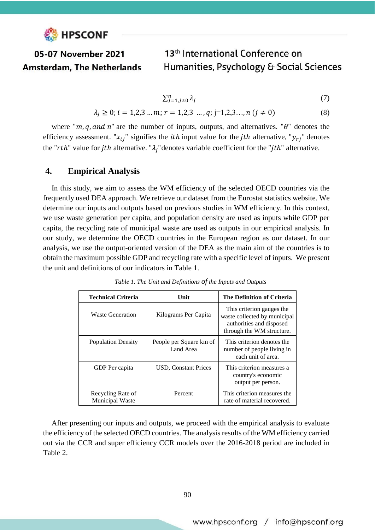

$$
\sum_{j=1,j\neq 0}^{n} \lambda_j \tag{7}
$$

$$
\lambda_j \ge 0; i = 1, 2, 3 \dots m; r = 1, 2, 3 \dots, q; j = 1, 2, 3 \dots, n \ (j \ne 0)
$$
\n
$$
(8)
$$

where "m, q, and n" are the number of inputs, outputs, and alternatives. " $\theta$ " denotes the efficiency assessment. " $x_{ij}$ " signifies the *ith* input value for the *jth* alternative, " $y_{rj}$ " denotes the "rth" value for jth alternative. " $\lambda_j$ " denotes variable coefficient for the "jth" alternative.

## **4. Empirical Analysis**

In this study, we aim to assess the WM efficiency of the selected OECD countries via the frequently used DEA approach. We retrieve our dataset from the Eurostat statistics website. We determine our inputs and outputs based on previous studies in WM efficiency. In this context, we use waste generation per capita, and population density are used as inputs while GDP per capita, the recycling rate of municipal waste are used as outputs in our empirical analysis. In our study, we determine the OECD countries in the European region as our dataset. In our analysis, we use the output-oriented version of the DEA as the main aim of the countries is to obtain the maximum possible GDP and recycling rate with a specific level of inputs. We present the unit and definitions of our indicators in Table 1.

| <b>Technical Criteria</b>            | Unit                                 | The Definition of Criteria                                                                                         |  |  |  |
|--------------------------------------|--------------------------------------|--------------------------------------------------------------------------------------------------------------------|--|--|--|
| <b>Waste Generation</b>              | Kilograms Per Capita                 | This criterion gauges the<br>waste collected by municipal<br>authorities and disposed<br>through the WM structure. |  |  |  |
| <b>Population Density</b>            | People per Square km of<br>Land Area | This criterion denotes the<br>number of people living in<br>each unit of area.                                     |  |  |  |
| GDP Per capita                       | <b>USD, Constant Prices</b>          | This criterion measures a<br>country's economic<br>output per person.                                              |  |  |  |
| Recycling Rate of<br>Municipal Waste | Percent                              | This criterion measures the<br>rate of material recovered.                                                         |  |  |  |

*Table 1. The Unit and Definitions of the Inputs and Outputs*

After presenting our inputs and outputs, we proceed with the empirical analysis to evaluate the efficiency of the selected OECD countries. The analysis results of the WM efficiency carried out via the CCR and super efficiency CCR models over the 2016-2018 period are included in Table 2.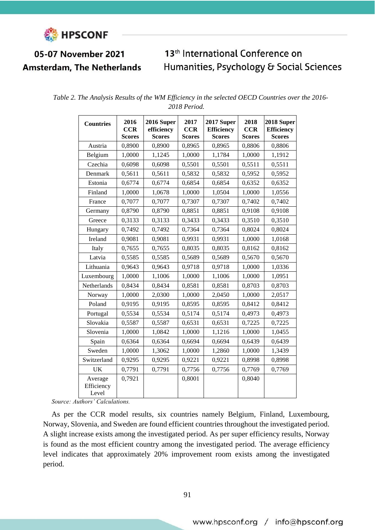

## 05-07 November 2021 **Amsterdam, The Netherlands**

## 13<sup>th</sup> International Conference on Humanities, Psychology & Social Sciences

| <b>Countries</b>               | 2016<br><b>CCR</b><br><b>Scores</b> | 2016 Super<br>efficiency<br><b>Scores</b> | 2017<br><b>CCR</b><br><b>Scores</b> | 2017 Super<br><b>Efficiency</b><br><b>Scores</b> | 2018<br><b>CCR</b><br><b>Scores</b> | 2018 Super<br><b>Efficiency</b><br><b>Scores</b> |
|--------------------------------|-------------------------------------|-------------------------------------------|-------------------------------------|--------------------------------------------------|-------------------------------------|--------------------------------------------------|
| Austria                        | 0,8900                              | 0,8900                                    | 0,8965                              | 0,8965                                           | 0,8806                              | 0,8806                                           |
| Belgium                        | 1,0000                              | 1,1245                                    | 1,0000                              | 1,1784                                           | 1,0000                              | 1,1912                                           |
| Czechia                        | 0,6098                              | 0,6098                                    | 0,5501                              | 0,5501                                           | 0,5511                              | 0,5511                                           |
| Denmark                        | 0,5611                              | 0,5611                                    | 0,5832                              | 0,5832                                           | 0,5952                              | 0,5952                                           |
| Estonia                        | 0,6774                              | 0,6774                                    | 0,6854                              | 0,6854                                           | 0,6352                              | 0,6352                                           |
| Finland                        | 1,0000                              | 1,0678                                    | 1,0000                              | 1,0504                                           | 1,0000                              | 1,0556                                           |
| France                         | 0,7077                              | 0,7077                                    | 0,7307                              | 0,7307                                           | 0,7402                              | 0,7402                                           |
| Germany                        | 0,8790                              | 0,8790                                    | 0,8851                              | 0,8851                                           | 0,9108                              | 0,9108                                           |
| Greece                         | 0,3133                              | 0,3133                                    | 0,3433                              | 0,3433                                           | 0,3510                              | 0,3510                                           |
| Hungary                        | 0,7492                              | 0,7492                                    | 0,7364                              | 0,7364                                           | 0,8024                              | 0,8024                                           |
| Ireland                        | 0,9081                              | 0,9081                                    | 0,9931                              | 0,9931                                           | 1,0000                              | 1,0168                                           |
| Italy                          | 0,7655                              | 0,7655                                    | 0,8035                              | 0,8035                                           | 0,8162                              | 0,8162                                           |
| Latvia                         | 0,5585                              | 0,5585                                    | 0,5689                              | 0,5689                                           | 0,5670                              | 0,5670                                           |
| Lithuania                      | 0,9643                              | 0,9643                                    | 0,9718                              | 0,9718                                           | 1,0000                              | 1,0336                                           |
| Luxembourg                     | 1,0000                              | 1,1006                                    | 1,0000                              | 1,1006                                           | 1,0000                              | 1,0951                                           |
| Netherlands                    | 0,8434                              | 0,8434                                    | 0,8581                              | 0,8581                                           | 0,8703                              | 0,8703                                           |
| Norway                         | 1,0000                              | 2,0300                                    | 1,0000                              | 2,0450                                           | 1,0000                              | 2,0517                                           |
| Poland                         | 0,9195                              | 0,9195                                    | 0,8595                              | 0,8595                                           | 0,8412                              | 0,8412                                           |
| Portugal                       | 0,5534                              | 0,5534                                    | 0,5174                              | 0,5174                                           | 0,4973                              | 0,4973                                           |
| Slovakia                       | 0,5587                              | 0,5587                                    | 0,6531                              | 0,6531                                           | 0,7225                              | 0,7225                                           |
| Slovenia                       | 1,0000                              | 1,0842                                    | 1,0000                              | 1,1216                                           | 1,0000                              | 1,0455                                           |
| Spain                          | 0,6364                              | 0,6364                                    | 0,6694                              | 0,6694                                           | 0,6439                              | 0,6439                                           |
| Sweden                         | 1,0000                              | 1,3062                                    | 1,0000                              | 1,2860                                           | 1,0000                              | 1,3439                                           |
| Switzerland                    | 0,9295                              | 0,9295                                    | 0,9221                              | 0,9221                                           | 0,8998                              | 0,8998                                           |
| <b>UK</b>                      | 0,7791                              | 0,7791                                    | 0,7756                              | 0,7756                                           | 0,7769                              | 0,7769                                           |
| Average<br>Efficiency<br>Level | 0,7921                              |                                           | 0,8001                              |                                                  | 0,8040                              |                                                  |

|  |  | Table 2. The Analysis Results of the WM Efficiency in the selected OECD Countries over the 2016- |  |  |  |
|--|--|--------------------------------------------------------------------------------------------------|--|--|--|
|  |  | 2018 Period.                                                                                     |  |  |  |

*Source: Authors' Calculations.* 

As per the CCR model results, six countries namely Belgium, Finland, Luxembourg, Norway, Slovenia, and Sweden are found efficient countries throughout the investigated period. A slight increase exists among the investigated period. As per super efficiency results, Norway is found as the most efficient country among the investigated period. The average efficiency level indicates that approximately 20% improvement room exists among the investigated period.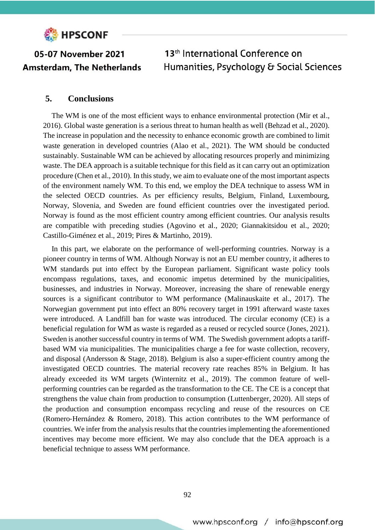

## **5. Conclusions**

The WM is one of the most efficient ways to enhance environmental protection (Mir et al., 2016). Global waste generation is a serious threat to human health as well (Behzad et al., 2020). The increase in population and the necessity to enhance economic growth are combined to limit waste generation in developed countries (Alao et al., 2021). The WM should be conducted sustainably. Sustainable WM can be achieved by allocating resources properly and minimizing waste. The DEA approach is a suitable technique for this field as it can carry out an optimization procedure (Chen et al., 2010). In this study, we aim to evaluate one of the most important aspects of the environment namely WM. To this end, we employ the DEA technique to assess WM in the selected OECD countries. As per efficiency results, Belgium, Finland, Luxembourg, Norway, Slovenia, and Sweden are found efficient countries over the investigated period. Norway is found as the most efficient country among efficient countries. Our analysis results are compatible with preceding studies (Agovino et al., 2020; Giannakitsidou et al., 2020; Castillo-Giménez et al., 2019; Pires & Martinho, 2019).

In this part, we elaborate on the performance of well-performing countries. Norway is a pioneer country in terms of WM. Although Norway is not an EU member country, it adheres to WM standards put into effect by the European parliament. Significant waste policy tools encompass regulations, taxes, and economic impetus determined by the municipalities, businesses, and industries in Norway. Moreover, increasing the share of renewable energy sources is a significant contributor to WM performance (Malinauskaite et al., 2017). The Norwegian government put into effect an 80% recovery target in 1991 afterward waste taxes were introduced. A Landfill ban for waste was introduced. The circular economy (CE) is a beneficial regulation for WM as waste is regarded as a reused or recycled source (Jones, 2021). Sweden is another successful country in terms of WM. The Swedish government adopts a tariffbased WM via municipalities. The municipalities charge a fee for waste collection, recovery, and disposal (Andersson & Stage, 2018). Belgium is also a super-efficient country among the investigated OECD countries. The material recovery rate reaches 85% in Belgium. It has already exceeded its WM targets (Winternitz et al., 2019). The common feature of wellperforming countries can be regarded as the transformation to the CE. The CE is a concept that strengthens the value chain from production to consumption (Luttenberger, 2020). All steps of the production and consumption encompass recycling and reuse of the resources on CE (Romero‐Hernández & Romero, 2018). This action contributes to the WM performance of countries. We infer from the analysis results that the countriesimplementing the aforementioned incentives may become more efficient. We may also conclude that the DEA approach is a beneficial technique to assess WM performance.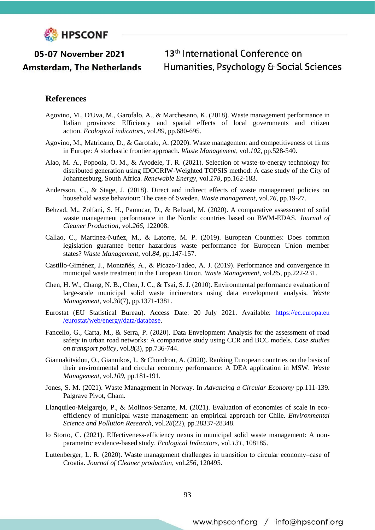

05-07 November 2021

**Amsterdam. The Netherlands** 

## 13<sup>th</sup> International Conference on Humanities, Psychology & Social Sciences

## **References**

- Agovino, M., D'Uva, M., Garofalo, A., & Marchesano, K. (2018). Waste management performance in Italian provinces: Efficiency and spatial effects of local governments and citizen action. *Ecological indicators*, vol.*89*, pp.680-695.
- Agovino, M., Matricano, D., & Garofalo, A. (2020). Waste management and competitiveness of firms in Europe: A stochastic frontier approach. *Waste Management*, vol.*102*, pp.528-540.
- Alao, M. A., Popoola, O. M., & Ayodele, T. R. (2021). Selection of waste-to-energy technology for distributed generation using IDOCRIW-Weighted TOPSIS method: A case study of the City of Johannesburg, South Africa. *Renewable Energy*, vol.*178*, pp.162-183.
- Andersson, C., & Stage, J. (2018). Direct and indirect effects of waste management policies on household waste behaviour: The case of Sweden. *Waste management*, vol.*76*, pp.19-27.
- Behzad, M., Zolfani, S. H., Pamucar, D., & Behzad, M. (2020). A comparative assessment of solid waste management performance in the Nordic countries based on BWM-EDAS. *Journal of Cleaner Production*, vol.*266*, 122008.
- Callao, C., Martinez-Nuñez, M., & Latorre, M. P. (2019). European Countries: Does common legislation guarantee better hazardous waste performance for European Union member states? *Waste Management*, vol.*84*, pp.147-157.
- Castillo-Giménez, J., Montañés, A., & Picazo-Tadeo, A. J. (2019). Performance and convergence in municipal waste treatment in the European Union. *Waste Management*, vol.*85*, pp.222-231.
- Chen, H. W., Chang, N. B., Chen, J. C., & Tsai, S. J. (2010). Environmental performance evaluation of large-scale municipal solid waste incinerators using data envelopment analysis. *Waste Management*, vol.*30*(7), pp.1371-1381.
- Eurostat (EU Statistical Bureau). Access Date: 20 July 2021. Available: [https://ec.europa.eu](https://ec.europa.eu/eurostat/web/energy/data/database) [/eurostat/web/energy/data/database.](https://ec.europa.eu/eurostat/web/energy/data/database)
- Fancello, G., Carta, M., & Serra, P. (2020). Data Envelopment Analysis for the assessment of road safety in urban road networks: A comparative study using CCR and BCC models. *Case studies on transport policy*, vol.*8*(3), pp.736-744.
- Giannakitsidou, O., Giannikos, I., & Chondrou, A. (2020). Ranking European countries on the basis of their environmental and circular economy performance: A DEA application in MSW. *Waste Management*, vol.*109*, pp.181-191.
- Jones, S. M. (2021). Waste Management in Norway. In *Advancing a Circular Economy* pp.111-139. Palgrave Pivot, Cham.
- Llanquileo-Melgarejo, P., & Molinos-Senante, M. (2021). Evaluation of economies of scale in ecoefficiency of municipal waste management: an empirical approach for Chile. *Environmental Science and Pollution Research*, vol.*28*(22), pp.28337-28348.
- lo Storto, C. (2021). Effectiveness-efficiency nexus in municipal solid waste management: A nonparametric evidence-based study. *Ecological Indicators*, vol.*131*, 108185.
- Luttenberger, L. R. (2020). Waste management challenges in transition to circular economy–case of Croatia. *Journal of Cleaner production*, vol.*256*, 120495.

www.hpsconf.org / info@hpsconf.org